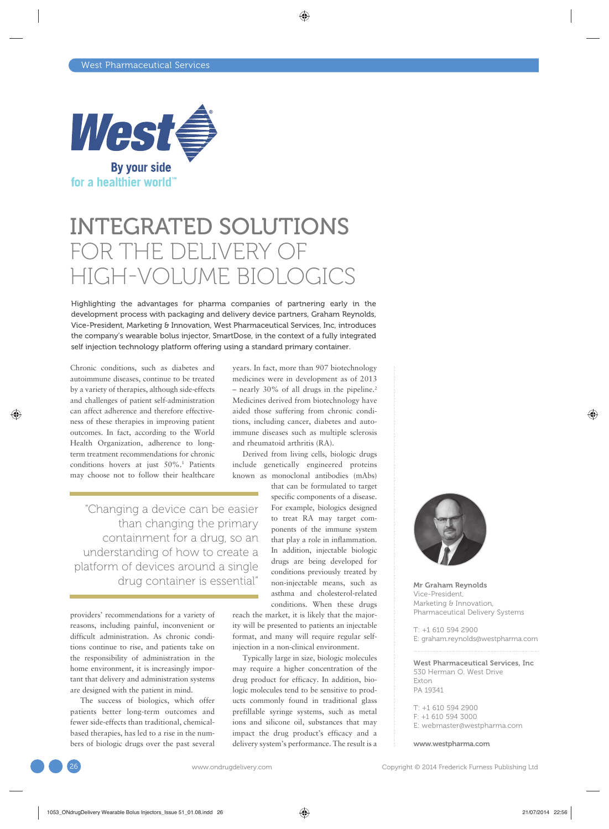

## INTEGRATED SOLUTIONS FOR THE DELIVERY OF HIGH-VOLUME BIOLOGICS

Highlighting the advantages for pharma companies of partnering early in the development process with packaging and delivery device partners, Graham Reynolds, Vice-President, Marketing & Innovation, West Pharmaceutical Services, Inc, introduces the company's wearable bolus injector, SmartDose, in the context of a fully integrated self injection technology platform offering using a standard primary container.

Chronic conditions, such as diabetes and autoimmune diseases, continue to be treated by a variety of therapies, although side-effects and challenges of patient self-administration can affect adherence and therefore effectiveness of these therapies in improving patient outcomes. In fact, according to the World Health Organization, adherence to longterm treatment recommendations for chronic conditions hovers at just 50%.<sup>1</sup> Patients may choose not to follow their healthcare

"Changing a device can be easier than changing the primary containment for a drug, so an understanding of how to create a platform of devices around a single drug container is essential"

providers' recommendations for a variety of reasons, including painful, inconvenient or difficult administration. As chronic conditions continue to rise, and patients take on the responsibility of administration in the home environment, it is increasingly important that delivery and administration systems are designed with the patient in mind.

The success of biologics, which offer patients better long-term outcomes and fewer side-effects than traditional, chemicalbased therapies, has led to a rise in the numbers of biologic drugs over the past several years. In fact, more than 907 biotechnology medicines were in development as of 2013 – nearly 30% of all drugs in the pipeline.<sup>2</sup> Medicines derived from biotechnology have aided those suffering from chronic conditions, including cancer, diabetes and autoimmune diseases such as multiple sclerosis and rheumatoid arthritis (RA).

Derived from living cells, biologic drugs include genetically engineered proteins known as monoclonal antibodies (mAbs)

that can be formulated to target specific components of a disease. For example, biologics designed to treat RA may target components of the immune system that play a role in inflammation. In addition, injectable biologic drugs are being developed for conditions previously treated by non-injectable means, such as asthma and cholesterol-related conditions. When these drugs

reach the market, it is likely that the majority will be presented to patients an injectable format, and many will require regular selfinjection in a non-clinical environment.

Typically large in size, biologic molecules may require a higher concentration of the drug product for efficacy. In addition, biologic molecules tend to be sensitive to products commonly found in traditional glass prefillable syringe systems, such as metal ions and silicone oil, substances that may impact the drug product's efficacy and a delivery system's performance. The result is a



Mr Graham Reynolds Vice-President, Marketing & Innovation, Pharmaceutical Delivery Systems

T: +1 610 594 2900 E: graham.reynolds@westpharma.com

West Pharmaceutical Services, Inc 530 Herman O. West Drive Exton PA 19341

T: +1 610 594 2900  $F: +1,610,594,3000$ E: webmaster@westpharma.com

www.westpharma.com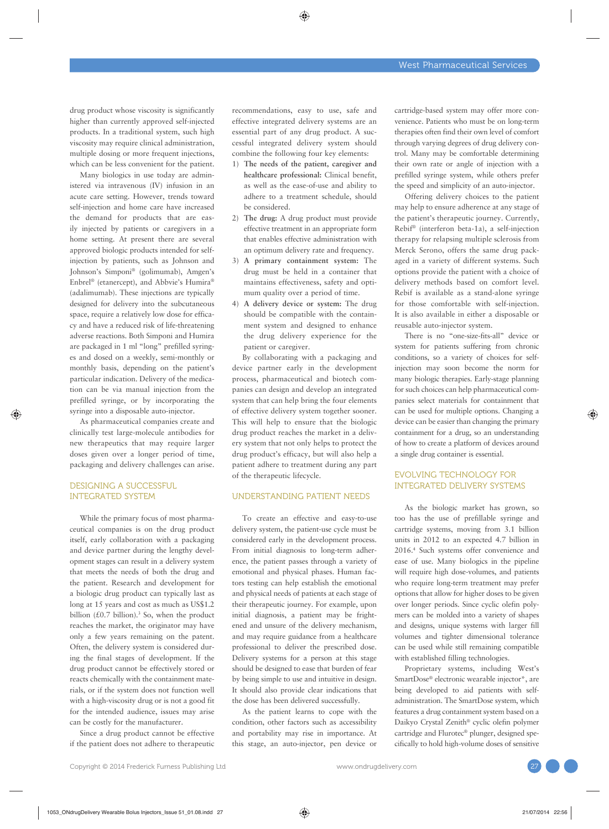drug product whose viscosity is significantly higher than currently approved self-injected products. In a traditional system, such high viscosity may require clinical administration, multiple dosing or more frequent injections, which can be less convenient for the patient.

Many biologics in use today are administered via intravenous (IV) infusion in an acute care setting. However, trends toward self-injection and home care have increased the demand for products that are easily injected by patients or caregivers in a home setting. At present there are several approved biologic products intended for selfinjection by patients, such as Johnson and Johnson's Simponi® (golimumab), Amgen's Enbrel® (etanercept), and Abbvie's Humira® (adalimumab). These injections are typically designed for delivery into the subcutaneous space, require a relatively low dose for efficacy and have a reduced risk of life-threatening adverse reactions. Both Simponi and Humira are packaged in 1 ml "long" prefilled syringes and dosed on a weekly, semi-monthly or monthly basis, depending on the patient's particular indication. Delivery of the medication can be via manual injection from the prefilled syringe, or by incorporating the syringe into a disposable auto-injector.

As pharmaceutical companies create and clinically test large-molecule antibodies for new therapeutics that may require larger doses given over a longer period of time, packaging and delivery challenges can arise.

#### DESIGNING A SUCCESSFUL INTEGRATED SYSTEM

While the primary focus of most pharmaceutical companies is on the drug product itself, early collaboration with a packaging and device partner during the lengthy development stages can result in a delivery system that meets the needs of both the drug and the patient. Research and development for a biologic drug product can typically last as long at 15 years and cost as much as US\$1.2 billion  $(\text{\pounds}0.7 \text{ billion})$ .<sup>3</sup> So, when the product reaches the market, the originator may have only a few years remaining on the patent. Often, the delivery system is considered during the final stages of development. If the drug product cannot be effectively stored or reacts chemically with the containment materials, or if the system does not function well with a high-viscosity drug or is not a good fit for the intended audience, issues may arise can be costly for the manufacturer.

Since a drug product cannot be effective if the patient does not adhere to therapeutic recommendations, easy to use, safe and effective integrated delivery systems are an essential part of any drug product. A successful integrated delivery system should combine the following four key elements:

- 1) **The needs of the patient, caregiver and healthcare professional:** Clinical benefit, as well as the ease-of-use and ability to adhere to a treatment schedule, should be considered.
- 2) **The drug:** A drug product must provide effective treatment in an appropriate form that enables effective administration with an optimum delivery rate and frequency.
- 3) **A primary containment system:** The drug must be held in a container that maintains effectiveness, safety and optimum quality over a period of time.
- 4) **A delivery device or system:** The drug should be compatible with the containment system and designed to enhance the drug delivery experience for the patient or caregiver.

By collaborating with a packaging and device partner early in the development process, pharmaceutical and biotech companies can design and develop an integrated system that can help bring the four elements of effective delivery system together sooner. This will help to ensure that the biologic drug product reaches the market in a delivery system that not only helps to protect the drug product's efficacy, but will also help a patient adhere to treatment during any part of the therapeutic lifecycle.

#### UNDERSTANDING PATIENT NEEDS

To create an effective and easy-to-use delivery system, the patient-use cycle must be considered early in the development process. From initial diagnosis to long-term adherence, the patient passes through a variety of emotional and physical phases. Human factors testing can help establish the emotional and physical needs of patients at each stage of their therapeutic journey. For example, upon initial diagnosis, a patient may be frightened and unsure of the delivery mechanism, and may require guidance from a healthcare professional to deliver the prescribed dose. Delivery systems for a person at this stage should be designed to ease that burden of fear by being simple to use and intuitive in design. It should also provide clear indications that the dose has been delivered successfully.

As the patient learns to cope with the condition, other factors such as accessibility and portability may rise in importance. At this stage, an auto-injector, pen device or cartridge-based system may offer more convenience. Patients who must be on long-term therapies often find their own level of comfort through varying degrees of drug delivery control. Many may be comfortable determining their own rate or angle of injection with a prefilled syringe system, while others prefer the speed and simplicity of an auto-injector.

Offering delivery choices to the patient may help to ensure adherence at any stage of the patient's therapeutic journey. Currently, Rebif® (interferon beta-1a), a self-injection therapy for relapsing multiple sclerosis from Merck Serono, offers the same drug packaged in a variety of different systems. Such options provide the patient with a choice of delivery methods based on comfort level. Rebif is available as a stand-alone syringe for those comfortable with self-injection. It is also available in either a disposable or reusable auto-injector system.

There is no "one-size-fits-all" device or system for patients suffering from chronic conditions, so a variety of choices for selfinjection may soon become the norm for many biologic therapies. Early-stage planning for such choices can help pharmaceutical companies select materials for containment that can be used for multiple options. Changing a device can be easier than changing the primary containment for a drug, so an understanding of how to create a platform of devices around a single drug container is essential.

#### EVOLVING TECHNOLOGY FOR INTEGRATED DELIVERY SYSTEMS

As the biologic market has grown, so too has the use of prefillable syringe and cartridge systems, moving from 3.1 billion units in 2012 to an expected 4.7 billion in 2016.4 Such systems offer convenience and ease of use. Many biologics in the pipeline will require high dose-volumes, and patients who require long-term treatment may prefer options that allow for higher doses to be given over longer periods. Since cyclic olefin polymers can be molded into a variety of shapes and designs, unique systems with larger fill volumes and tighter dimensional tolerance can be used while still remaining compatible with established filling technologies.

Proprietary systems, including West's SmartDose® electronic wearable injector\*, are being developed to aid patients with selfadministration. The SmartDose system, which features a drug containment system based on a Daikyo Crystal Zenith® cyclic olefin polymer cartridge and Flurotec® plunger, designed specifically to hold high-volume doses of sensitive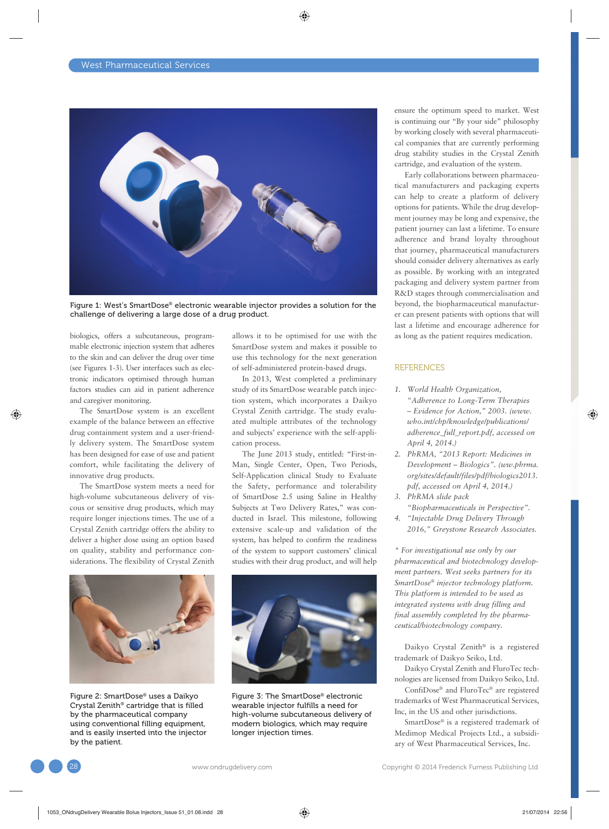

Figure 1: West's SmartDose® electronic wearable injector provides a solution for the challenge of delivering a large dose of a drug product.

biologics, offers a subcutaneous, programmable electronic injection system that adheres to the skin and can deliver the drug over time (see Figures 1-3). User interfaces such as electronic indicators optimised through human factors studies can aid in patient adherence and caregiver monitoring.

The SmartDose system is an excellent example of the balance between an effective drug containment system and a user-friendly delivery system. The SmartDose system has been designed for ease of use and patient comfort, while facilitating the delivery of innovative drug products.

The SmartDose system meets a need for high-volume subcutaneous delivery of viscous or sensitive drug products, which may require longer injections times. The use of a Crystal Zenith cartridge offers the ability to deliver a higher dose using an option based on quality, stability and performance considerations. The flexibility of Crystal Zenith



Figure 2: SmartDose® uses a Daikyo Crystal Zenith® cartridge that is filled by the pharmaceutical company using conventional filling equipment, and is easily inserted into the injector by the patient.

allows it to be optimised for use with the SmartDose system and makes it possible to use this technology for the next generation of self-administered protein-based drugs.

In 2013, West completed a preliminary study of its SmartDose wearable patch injection system, which incorporates a Daikyo Crystal Zenith cartridge. The study evaluated multiple attributes of the technology and subjects' experience with the self-application process.

The June 2013 study, entitled: "First-in-Man, Single Center, Open, Two Periods, Self-Application clinical Study to Evaluate the Safety, performance and tolerability of SmartDose 2.5 using Saline in Healthy Subjects at Two Delivery Rates," was conducted in Israel. This milestone, following extensive scale-up and validation of the system, has helped to confirm the readiness of the system to support customers' clinical studies with their drug product, and will help



Figure 3: The SmartDose® electronic wearable injector fulfills a need for high-volume subcutaneous delivery of modern biologics, which may require longer injection times.

ensure the optimum speed to market. West is continuing our "By your side" philosophy by working closely with several pharmaceutical companies that are currently performing drug stability studies in the Crystal Zenith cartridge, and evaluation of the system.

Early collaborations between pharmaceutical manufacturers and packaging experts can help to create a platform of delivery options for patients. While the drug development journey may be long and expensive, the patient journey can last a lifetime. To ensure adherence and brand loyalty throughout that journey, pharmaceutical manufacturers should consider delivery alternatives as early as possible. By working with an integrated packaging and delivery system partner from R&D stages through commercialisation and beyond, the biopharmaceutical manufacturer can present patients with options that will last a lifetime and encourage adherence for as long as the patient requires medication.

#### **REFERENCES**

- *1. World Health Organization, "Adherence to Long-Term Therapies – Evidence for Action," 2003. (www. who.int/chp/knowledge/publications/ adherence\_full\_report.pdf, accessed on April 4, 2014.)*
- *2. PhRMA, "2013 Report: Medicines in Development – Biologics". (ww.phrma. org/sites/default/files/pdf/biologics2013. pdf, accessed on April 4, 2014.)*
- *3. PhRMA slide pack "Biopharmaceuticals in Perspective".*
- *4. "Injectable Drug Delivery Through 2016," Greystone Research Associates.*

*\* For investigational use only by our pharmaceutical and biotechnology development partners. West seeks partners for its SmartDose® injector technology platform. This platform is intended to be used as integrated systems with drug filling and final assembly completed by the pharmaceutical/biotechnology company.*

Daikyo Crystal Zenith® is a registered trademark of Daikyo Seiko, Ltd.

Daikyo Crystal Zenith and FluroTec technologies are licensed from Daikyo Seiko, Ltd.

ConfiDose® and FluroTec® are registered trademarks of West Pharmaceutical Services, Inc, in the US and other jurisdictions.

SmartDose® is a registered trademark of Medimop Medical Projects Ltd., a subsidiary of West Pharmaceutical Services, Inc.